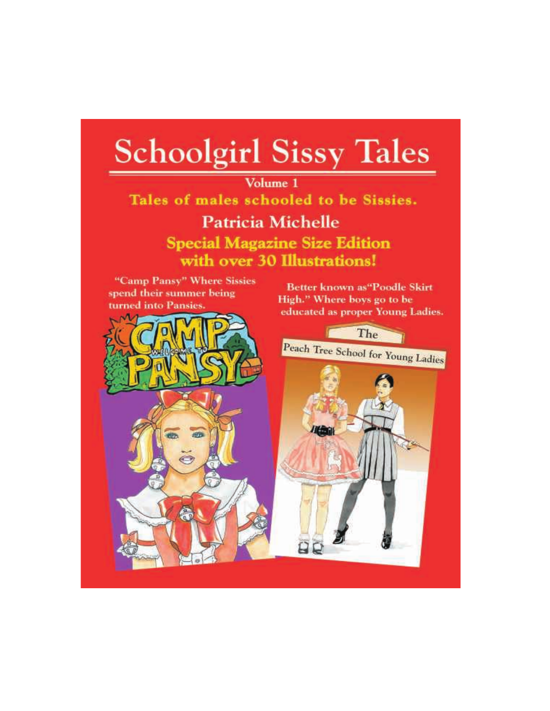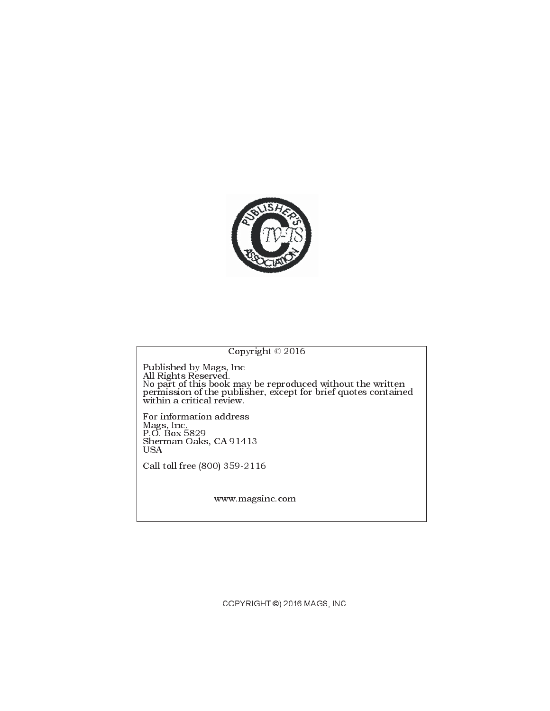

## Copyright © 2016

Published by Mags, Inc All Rights Reserved. No part of this book may be reproduced without the written permission of the publisher, except for brief quotes contained within a critical review.

For information address Mags, Inc. P.O. Box 5829 Sherman Oaks, CA 91413 USA

Call toll free (800) 359-2116

www.magsinc.com

COPYRIGHT ©) 2016 MAGS, INC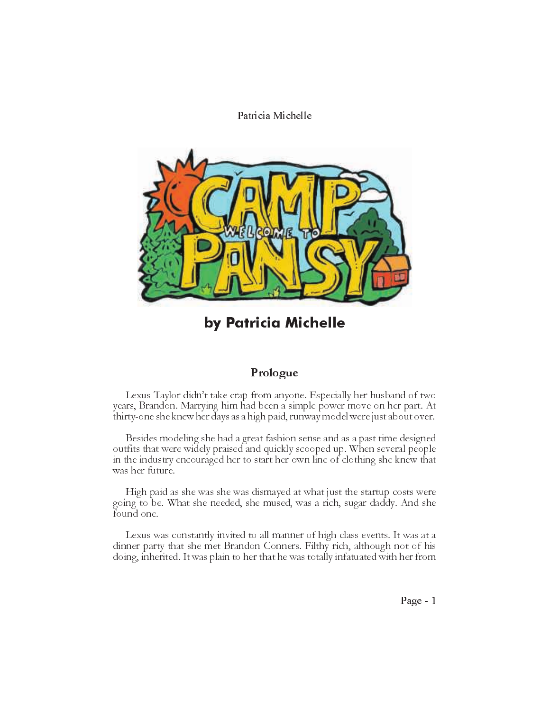

by Patricia Michelle

# Prologue

Lexus Taylor didn't take crap from anyone. Especially her husband of two years, Brandon. Marrying him had been a simple power move on her part. At thirty-one she knew her days as a high paid, runway model were just about over.

Besides modeling she had a great fashion sense and as a past time designed outfits that were widely praised and quickly scooped up. When several people in the industry encouraged her to start her own line of clothing she knew that was her future.

High paid as she was she was dismayed at what just the startup costs were going to be. What she needed, she mused, was a rich, sugar daddy. And she found one.

Lexus was constantly invited to all manner of high class events. It was at a dinner party that she met Brandon Conners. Filthy rich, although not of his doing, inherited. It was plain to her that he was totally infatuated with her from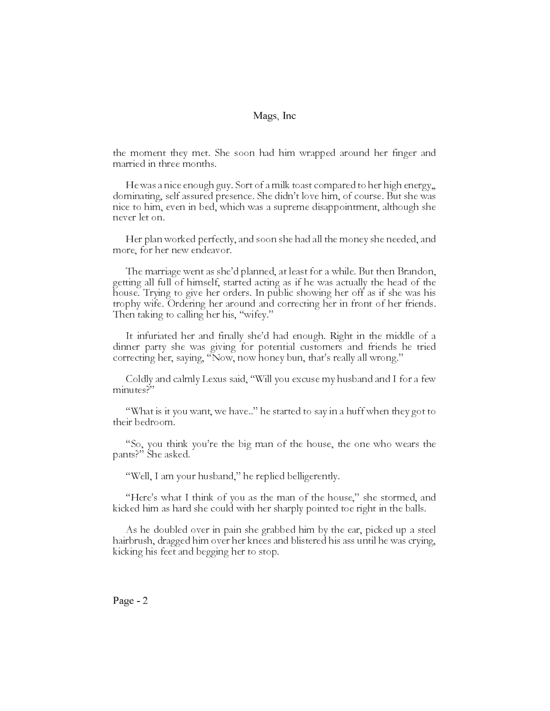the moment they met. She soon had him wrapped around her finger and married in three months.

He was a nice enough guy. Sort of a milk toast compared to her high energy,, dominating, self assured presence. She didn't love him, of course. But she was nice to him, even in bed, which was a supreme disappointment, although she never let on.

Her plan worked perfectly, and soon she had all the money she needed, and more, for her new endeavor.

The marriage went as she'd planned, at least for a while. But then Brandon, getting all full of himself, started acting as if he was actually the head of the house. Trying to give her orders. In public showing her off as if she was his trophy wife. Ordering her around and correcting her in front of her friends. Then taking to calling her his, "wifey."

It infuriated her and finally she'd had enough. Right in the middle of a dinner party she was giving for potential customers and friends he tried correcting her, saying, "Now, now honey bun, that's really all wrong."

Coldly and calmly Lexus said, Will you excuse my husband and I for a few minutes?"

"What is it you want, we have.." he started to say in a huff when they got to their bedroom.

"So, you think you're the big man of the house, the one who wears the pants?" She asked.

"Well, I am your husband," he replied belligerently.

"Here's what I think of you as the man of the house," she stormed, and kicked him as hard she could with her sharply pointed toe right in the balls.

As he doubled over in pain she grabbed him by the ear, picked up a steel hairbrush, dragged him over her knees and blistered his ass until he was crying, kicking his feet and begging her to stop.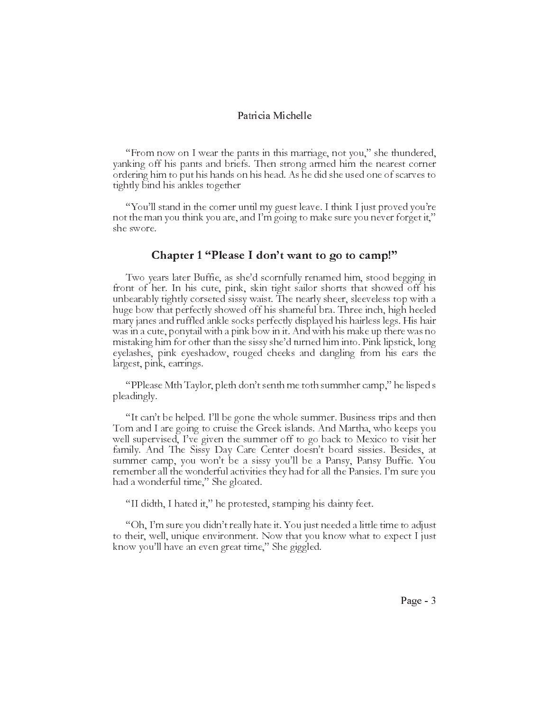"From now on I wear the pants in this marriage, not you," she thundered, yanking off his pants and briefs. Then strong armed him the nearest corner ordering him to put his hands on his head. As he did she used one of scarves to tightly bind his ankles together

"You'll stand in the corner until my guest leave. I think I just proved you're not the man you think you are, and I'm going to make sure you never forget it," she swore.

### Chapter  $1$  "Please I don't want to go to camp!"

Two years later Buffie, as she'd scornfully renamed him, stood begging in front of her. In his cute, pink, skin tight sailor shorts that showed off his unbearably tightly corseted sissy waist. The nearly sheer, sleeveless top with a huge bow that perfectly showed off his shameful bra. Three inch, high heeled mary janes and ruffled ankle socks perfectly displayed his hairless legs. His hair was in a cute, ponytail with a pink bow in it. And with his make up there was no mistaking him for other than the sissy she'd turned him into. Pink lipstick, long eyelashes, pink eyeshadow, rouged cheeks and dangling from his ears the largest, pink, earrings.

"PPlease Mth Taylor, pleth don't senth me toth summher camp," he lisped s pleadingly.

"It can't be helped. I'll be gone the whole summer. Business trips and then Tom and I are going to cruise the Greek islands. And Martha, who keeps you well supervised, Ive given the summer off to go back to Mexico to visit her family. And The Sissy Day Care Center doesn't board sissies. Besides, at summer camp, you won't be a sissy you'll be a Pansy, Pansy Buffie. You remember all the wonderful activities they had for all the Pansies. I'm sure you had a wonderful time," She gloated.

"II didth, I hated it," he protested, stamping his dainty feet.

"Oh, I'm sure you didn't really hate it. You just needed a little time to adjust to their, well, unique environment. Now that you know what to expect I just know you'll have an even great time," She giggled.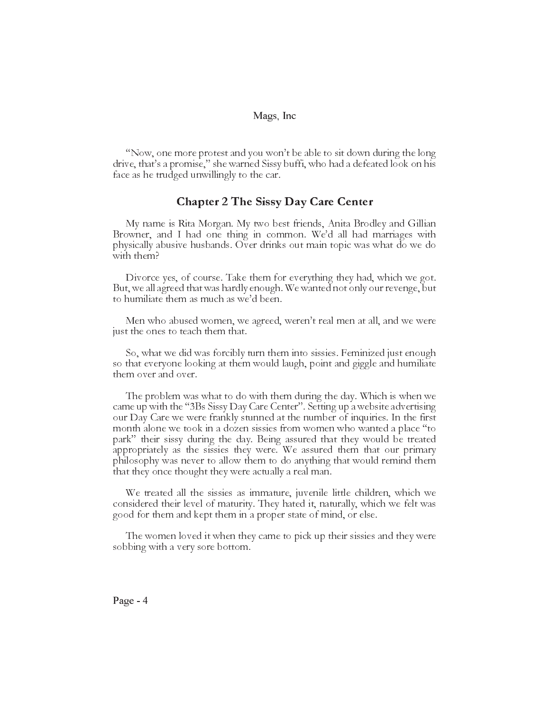"Now, one more protest and you won't be able to sit down during the long" drive, that's a promise," she warned Sissy buffi, who had a defeated look on his face as he trudged unwillingly to the car.

## Chapter 2 The Sissy Day Care Center

My name is Rita Morgan. My two best friends, Anita Brodley and Gillian Browner, and I had one thing in common. We'd all had marriages with physically abusive husbands. Over drinks out main topic was what do we do with them?

Divorce yes, of course. Take them for everything they had, which we got. But, we all agreed that was hardly enough. We wanted not only our revenge, but to humiliate them as much as we'd been.

Men who abused women, we agreed, weren't real men at all, and we were just the ones to teach them that.

So, what we did was forcibly turn them into sissies. Feminized just enough so that everyone looking at them would laugh, point and giggle and humiliate them over and over.

The problem was what to do with them during the day. Which is when we came up with the "3Bs Sissy Day Care Center". Setting up a website advertising our Day Care we were frankly stunned at the number of inquiries. In the first month alone we took in a dozen sissies from women who wanted a place "to" park" their sissy during the day. Being assured that they would be treated appropriately as the sissies they were. We assured them that our primary philosophy was never to allow them to do anything that would remind them that they once thought they were actually a real man.

We treated all the sissies as immature, juvenile little children, which we considered their level of maturity. They hated it, naturally, which we felt was good for them and kept them in a proper state of mind, or else.

The women loved it when they came to pick up their sissies and they were sobbing with a very sore bottom.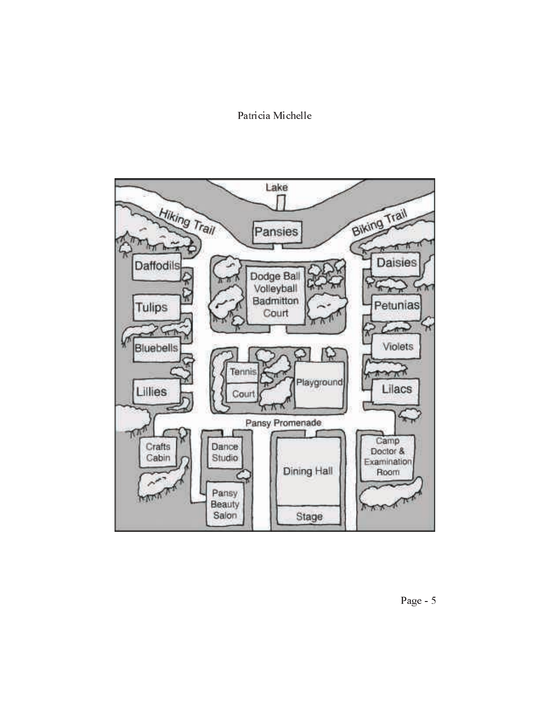

Page - 5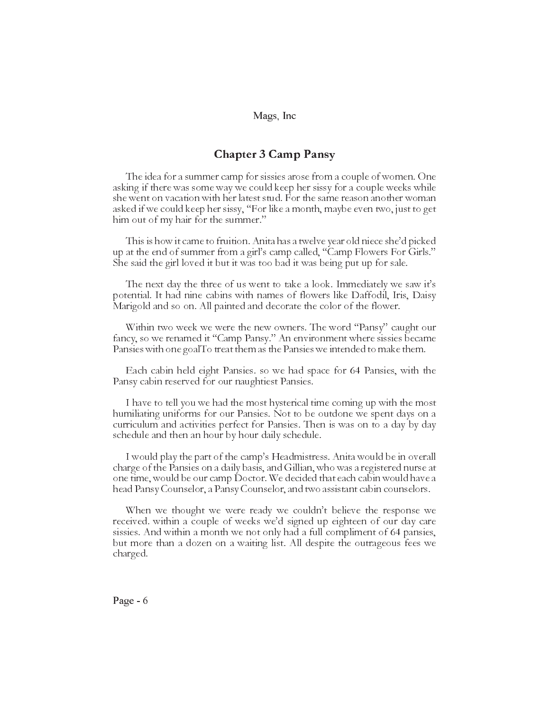## Chapter 3 Camp Pansy

The idea for a summer camp for sissies arose from a couple of women. One asking if there was some way we could keep her sissy for a couple weeks while she went on vacation with her latest stud. For the same reason another woman asked if we could keep her sissy, "For like a month, maybe even two, just to get him out of my hair for the summer."

This is how it came to fruition. Anita has a twelve year old niece she'd picked up at the end of summer from a girl's camp called, "Camp Flowers For Girls." She said the girl loved it but it was too bad it was being put up for sale.

The next day the three of us went to take a look. Immediately we saw it's potential. It had nine cabins with names of flowers like Daffodil, Iris, Daisy Marigold and so on. All painted and decorate the color of the flower.

Within two week we were the new owners. The word "Pansy" caught our fancy, so we renamed it "Camp Pansy." An environment where sissies became Pansies with one goalTo treat them as the Pansies we intended to make them.

Each cabin held eight Pansies. so we had space for 64 Pansies, with the Pansy cabin reserved for our naughtiest Pansies.

I have to tell you we had the most hysterical time coming up with the most humiliating uniforms for our Pansies. Not to be outdone we spent days on a curriculum and activities perfect for Pansies. Then is was on to a day by day schedule and then an hour by hour daily schedule.

I would play the part of the camp's Headmistress. Anita would be in overall charge of the Pansies on a daily basis, and Gillian, who was a registered nurse at one time, would be our camp Doctor. We decided that each cabin would have a head Pansy Counselor, a Pansy Counselor, and two assistant cabin counselors.

When we thought we were ready we couldn't believe the response we received. within a couple of weeks we'd signed up eighteen of our day care sissies. And within a month we not only had a full compliment of 64 pansies, but more than a dozen on a waiting list. All despite the outrageous fees we charged.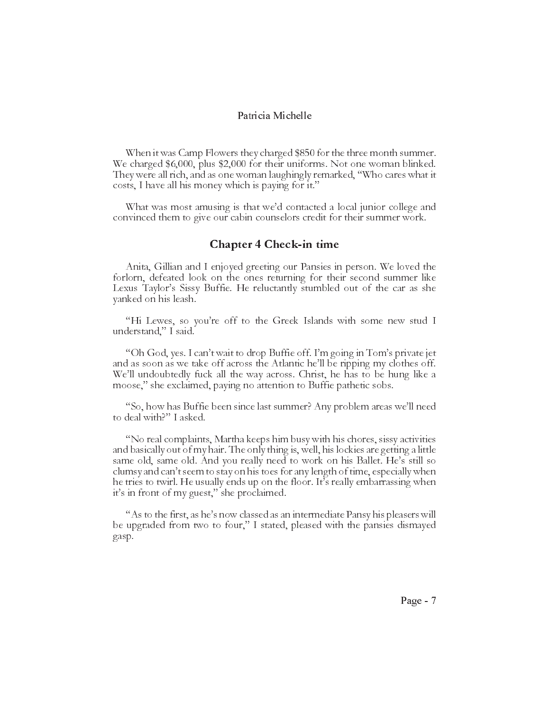When it was Camp Flowers they charged \$850 for the three month summer. We charged \$6,000, plus \$2,000 for their uniforms. Not one woman blinked. They were all rich, and as one woman laughingly remarked, "Who cares what it costs, I have all his money which is paying for it.

What was most amusing is that we'd contacted a local junior college and convinced them to give our cabin counselors credit for their summer work.

## Chapter 4 Check-in time

Anita, Gillian and I enjoyed greeting our Pansies in person. We loved the forlorn, defeated look on the ones returning for their second summer like Lexus Taylor's Sissy Buffie. He reluctantly stumbled out of the car as she yanked on his leash.

"Hi Lewes, so you're off to the Greek Islands with some new stud I understand," I said.

"Oh God, yes. I can't wait to drop Buffie off. I'm going in Tom's private jet and as soon as we take off across the Atlantic he'll be ripping my clothes off. We'll undoubtedly fuck all the way across. Christ, he has to be hung like a moose," she exclaimed, paying no attention to Buffie pathetic sobs.

"So, how has Buffie been since last summer? Any problem areas we'll need to deal with?" I asked.

No real complaints, Martha keeps him busy with his chores, sissy activities and basically out of my hair. The only thing is, well, his lockies are getting a little same old, same old. And you really need to work on his Ballet. He's still so clumsy and can't seem to stay on his toes for any length of time, especially when he tries to twirl. He usually ends up on the floor. It's really embarrassing when it's in front of my guest," she proclaimed.

"As to the first, as he's now classed as an intermediate Pansy his pleasers will be upgraded from two to four," I stated, pleased with the pansies dismayed gasp.